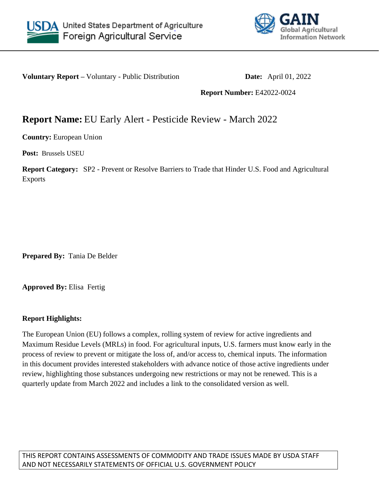



**Voluntary Report –** Voluntary - Public Distribution **Date:** April 01, 2022

**Report Number:** E42022-0024

## **Report Name:** EU Early Alert - Pesticide Review - March 2022

**Country:** European Union

**Post:** Brussels USEU

**Report Category:** SP2 - Prevent or Resolve Barriers to Trade that Hinder U.S. Food and Agricultural Exports

**Prepared By:** Tania De Belder

**Approved By:** Elisa Fertig

## **Report Highlights:**

The European Union (EU) follows a complex, rolling system of review for active ingredients and Maximum Residue Levels (MRLs) in food. For agricultural inputs, U.S. farmers must know early in the process of review to prevent or mitigate the loss of, and/or access to, chemical inputs. The information in this document provides interested stakeholders with advance notice of those active ingredients under review, highlighting those substances undergoing new restrictions or may not be renewed. This is a quarterly update from March 2022 and includes a link to the consolidated version as well.

THIS REPORT CONTAINS ASSESSMENTS OF COMMODITY AND TRADE ISSUES MADE BY USDA STAFF AND NOT NECESSARILY STATEMENTS OF OFFICIAL U.S. GOVERNMENT POLICY